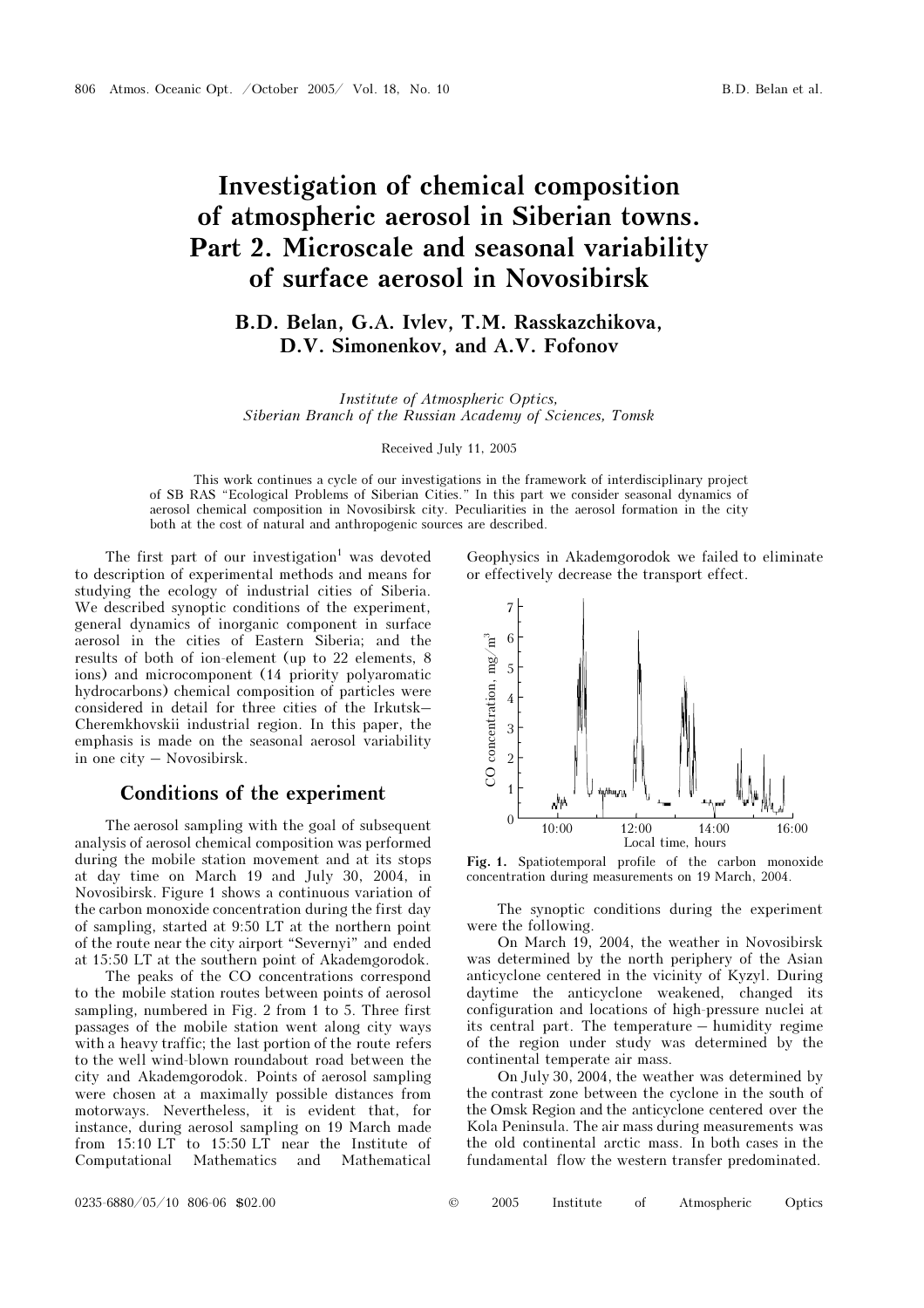# Investigation of chemical composition of atmospheric aerosol in Siberian towns. Part 2. Microscale and seasonal variability of surface aerosol in Novosibirsk

# B.D. Belan, G.A. Ivlev, T.M. Rasskazchikova, D.V. Simonenkov, and A.V. Fofonov

Institute of Atmospheric Optics, Siberian Branch of the Russian Academy of Sciences, Tomsk

Received July 11, 2005

This work continues a cycle of our investigations in the framework of interdisciplinary project of SB RAS "Ecological Problems of Siberian Cities." In this part we consider seasonal dynamics of aerosol chemical composition in Novosibirsk city. Peculiarities in the aerosol formation in the city both at the cost of natural and anthropogenic sources are described.

The first part of our investigation<sup>1</sup> was devoted to description of experimental methods and means for studying the ecology of industrial cities of Siberia. We described synoptic conditions of the experiment, general dynamics of inorganic component in surface aerosol in the cities of Eastern Siberia; and the results of both of ion-element (up to 22 elements, 8 ions) and microcomponent (14 priority polyaromatic hydrocarbons) chemical composition of particles were considered in detail for three cities of the Irkutsk– Cheremkhovskii industrial region. In this paper, the emphasis is made on the seasonal aerosol variability in one city – Novosibirsk.

### Conditions of the experiment

The aerosol sampling with the goal of subsequent analysis of aerosol chemical composition was performed during the mobile station movement and at its stops at day time on March 19 and July 30, 2004, in Novosibirsk. Figure 1 shows a continuous variation of the carbon monoxide concentration during the first day of sampling, started at 9:50 LT at the northern point of the route near the city airport "Severnyi" and ended at 15:50 LT at the southern point of Akademgorodok.

The peaks of the CO concentrations correspond to the mobile station routes between points of aerosol sampling, numbered in Fig. 2 from 1 to 5. Three first passages of the mobile station went along city ways with a heavy traffic; the last portion of the route refers to the well wind-blown roundabout road between the city and Akademgorodok. Points of aerosol sampling were chosen at a maximally possible distances from motorways. Nevertheless, it is evident that, for instance, during aerosol sampling on 19 March made from 15:10 LT to 15:50 LT near the Institute of Computational Mathematics and Mathematical Geophysics in Akademgorodok we failed to eliminate or effectively decrease the transport effect.



Fig. 1. Spatiotemporal profile of the carbon monoxide concentration during measurements on 19 March, 2004.

The synoptic conditions during the experiment were the following.

On March 19, 2004, the weather in Novosibirsk was determined by the north periphery of the Asian anticyclone centered in the vicinity of Kyzyl. During daytime the anticyclone weakened, changed its configuration and locations of high-pressure nuclei at its central part. The temperature – humidity regime of the region under study was determined by the continental temperate air mass.

On July 30, 2004, the weather was determined by the contrast zone between the cyclone in the south of the Omsk Region and the anticyclone centered over the Kola Peninsula. The air mass during measurements was the old continental arctic mass. In both cases in the fundamental flow the western transfer predominated.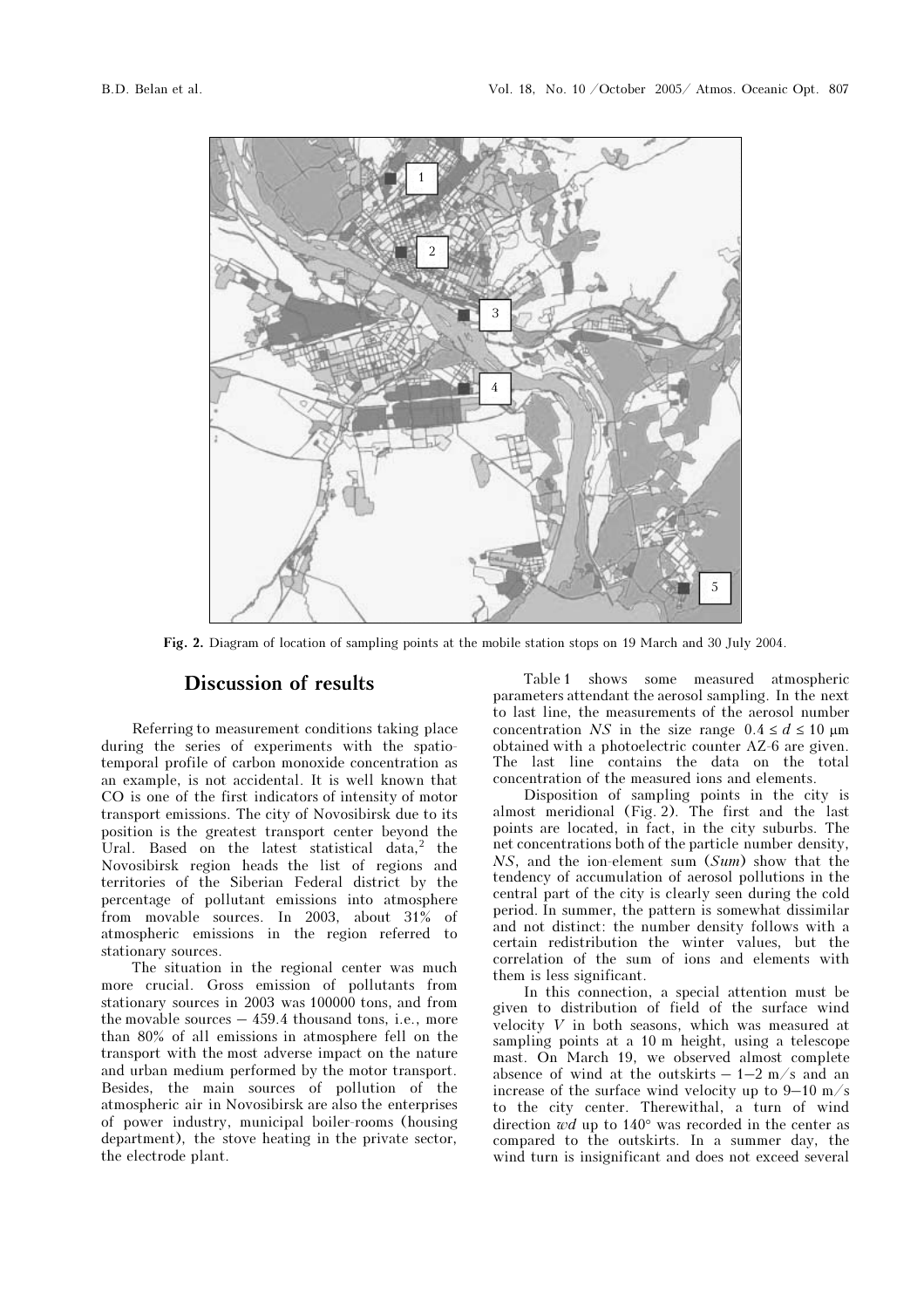

Fig. 2. Diagram of location of sampling points at the mobile station stops on 19 March and 30 July 2004.

## Discussion of results

Referring to measurement conditions taking place during the series of experiments with the spatiotemporal profile of carbon monoxide concentration as an example, is not accidental. It is well known that CO is one of the first indicators of intensity of motor transport emissions. The city of Novosibirsk due to its position is the greatest transport center beyond the Ural. Based on the latest statistical data,<sup>2</sup> the Novosibirsk region heads the list of regions and territories of the Siberian Federal district by the percentage of pollutant emissions into atmosphere from movable sources. In 2003, about 31% of atmospheric emissions in the region referred to stationary sources.

The situation in the regional center was much more crucial. Gross emission of pollutants from stationary sources in 2003 was 100000 tons, and from the movable sources – 459.4 thousand tons, i.e., more than 80% of all emissions in atmosphere fell on the transport with the most adverse impact on the nature and urban medium performed by the motor transport. Besides, the main sources of pollution of the atmospheric air in Novosibirsk are also the enterprises of power industry, municipal boiler-rooms (housing department), the stove heating in the private sector, the electrode plant.

Table 1 shows some measured atmospheric parameters attendant the aerosol sampling. In the next to last line, the measurements of the aerosol number concentration NS in the size range  $0.4 \le d \le 10 \text{ }\mu\text{m}$ obtained with a photoelectric counter AZ-6 are given. The last line contains the data on the total concentration of the measured ions and elements.

Disposition of sampling points in the city is almost meridional (Fig. 2). The first and the last points are located, in fact, in the city suburbs. The net concentrations both of the particle number density, NS, and the ion-element sum (Sum) show that the tendency of accumulation of aerosol pollutions in the central part of the city is clearly seen during the cold period. In summer, the pattern is somewhat dissimilar and not distinct: the number density follows with a certain redistribution the winter values, but the correlation of the sum of ions and elements with them is less significant.

In this connection, a special attention must be given to distribution of field of the surface wind velocity V in both seasons, which was measured at sampling points at a 10 m height, using a telescope mast. On March 19, we observed almost complete absence of wind at the outskirts  $-1-2$  m/s and an increase of the surface wind velocity up to 9–10 m/s to the city center. Therewithal, a turn of wind direction  $wd$  up to 140 $^{\circ}$  was recorded in the center as compared to the outskirts. In a summer day, the wind turn is insignificant and does not exceed several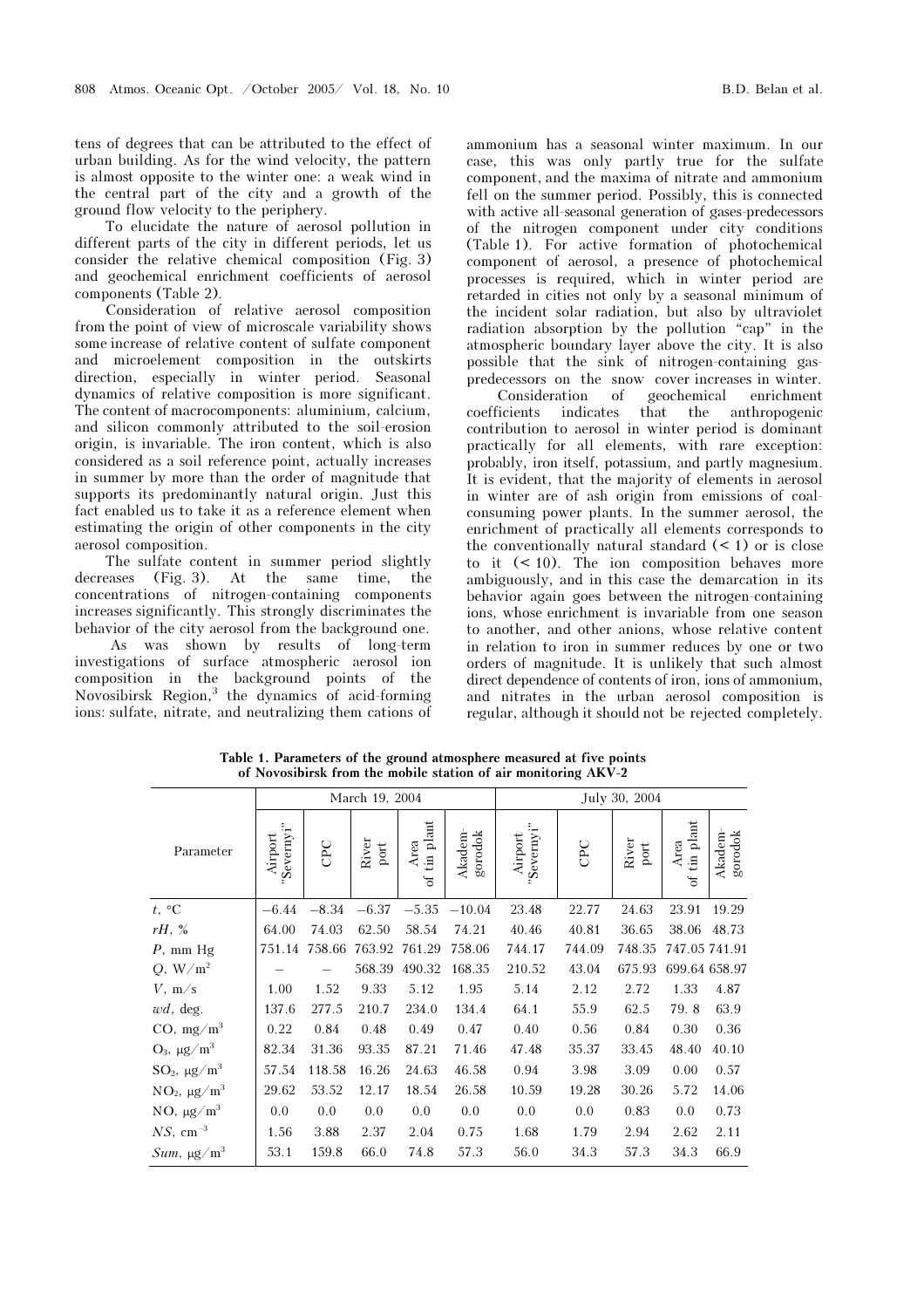tens of degrees that can be attributed to the effect of urban building. As for the wind velocity, the pattern is almost opposite to the winter one: a weak wind in the central part of the city and a growth of the ground flow velocity to the periphery.

To elucidate the nature of aerosol pollution in different parts of the city in different periods, let us consider the relative chemical composition (Fig. 3) and geochemical enrichment coefficients of aerosol components (Table 2).

Consideration of relative aerosol composition from the point of view of microscale variability shows some increase of relative content of sulfate component and microelement composition in the outskirts direction, especially in winter period. Seasonal dynamics of relative composition is more significant. The content of macrocomponents: aluminium, calcium, and silicon commonly attributed to the soil-erosion origin, is invariable. The iron content, which is also considered as a soil reference point, actually increases in summer by more than the order of magnitude that supports its predominantly natural origin. Just this fact enabled us to take it as a reference element when estimating the origin of other components in the city aerosol composition.

The sulfate content in summer period slightly decreases (Fig. 3). At the same time, the concentrations of nitrogen-containing components increases significantly. This strongly discriminates the behavior of the city aerosol from the background one.

 As was shown by results of long-term investigations of surface atmospheric aerosol ion composition in the background points of the Novosibirsk Region,<sup>3</sup> the dynamics of acid-forming ions: sulfate, nitrate, and neutralizing them cations of

ammonium has a seasonal winter maximum. In our case, this was only partly true for the sulfate component, and the maxima of nitrate and ammonium fell on the summer period. Possibly, this is connected with active all-seasonal generation of gases-predecessors of the nitrogen component under city conditions (Table 1). For active formation of photochemical component of aerosol, a presence of photochemical processes is required, which in winter period are retarded in cities not only by a seasonal minimum of the incident solar radiation, but also by ultraviolet radiation absorption by the pollution "cap" in the atmospheric boundary layer above the city. It is also possible that the sink of nitrogen-containing gaspredecessors on the snow cover increases in winter.

Consideration of geochemical enrichment coefficients indicates that the anthropogenic contribution to aerosol in winter period is dominant practically for all elements, with rare exception: probably, iron itself, potassium, and partly magnesium. It is evident, that the majority of elements in aerosol in winter are of ash origin from emissions of coalconsuming power plants. In the summer aerosol, the enrichment of practically all elements corresponds to the conventionally natural standard  $(< 1$ ) or is close to it  $(< 10$ ). The ion composition behaves more ambiguously, and in this case the demarcation in its behavior again goes between the nitrogen-containing ions, whose enrichment is invariable from one season to another, and other anions, whose relative content in relation to iron in summer reduces by one or two orders of magnitude. It is unlikely that such almost direct dependence of contents of iron, ions of ammonium, and nitrates in the urban aerosol composition is regular, although it should not be rejected completely.

| March 19, 2004           |                      |               |                        |                        | July 30, 2004     |                      |        |                        |                                               |                   |
|--------------------------|----------------------|---------------|------------------------|------------------------|-------------------|----------------------|--------|------------------------|-----------------------------------------------|-------------------|
| Parameter                | Severnyi"<br>Airport | CPC           | River<br>$_{\rm port}$ | tin plant<br>Area<br>đ | gorodok<br>Akadem | Severnyi"<br>Airport | CPC    | River<br>$_{\rm port}$ | $_{\rm plant}$<br>Area<br>$\overline{a}$<br>ð | gorodok<br>Akadem |
| t, $\circ$ C             | $-6.44$              | $-8.34$       | $-6.37$                | $-5.35$                | $-10.04$          | 23.48                | 22.77  | 24.63                  | 23.91                                         | 19.29             |
| rH, %                    | 64.00                | 74.03         | 62.50                  | 58.54                  | 74.21             | 40.46                | 40.81  | 36.65                  | 38.06                                         | 48.73             |
| $P$ , mm $Hg$            |                      | 751.14 758.66 | 763.92                 | 761.29                 | 758.06            | 744.17               | 744.09 | 748.35                 | 747.05 741.91                                 |                   |
| $Q, W/m^2$               |                      |               | 568.39                 | 490.32                 | 168.35            | 210.52               | 43.04  | 675.93                 | 699.64 658.97                                 |                   |
| $V$ , m/s                | 1.00                 | 1.52          | 9.33                   | 5.12                   | 1.95              | 5.14                 | 2.12   | 2.72                   | 1.33                                          | 4.87              |
| $wd$ , deg.              | 137.6                | 277.5         | 210.7                  | 234.0                  | 134.4             | 64.1                 | 55.9   | 62.5                   | 79.8                                          | 63.9              |
| $CO$ , mg/m <sup>3</sup> | 0.22                 | 0.84          | 0.48                   | 0.49                   | 0.47              | 0.40                 | 0.56   | 0.84                   | 0.30                                          | 0.36              |
| $O_3$ , $\mu g/m^3$      | 82.34                | 31.36         | 93.35                  | 87.21                  | 71.46             | 47.48                | 35.37  | 33.45                  | 48.40                                         | 40.10             |
| $SO_2$ , $\mu g/m^3$     | 57.54                | 118.58        | 16.26                  | 24.63                  | 46.58             | 0.94                 | 3.98   | 3.09                   | 0.00                                          | 0.57              |
| $NO_2$ , $\mu g/m^3$     | 29.62                | 53.52         | 12.17                  | 18.54                  | 26.58             | 10.59                | 19.28  | 30.26                  | 5.72                                          | 14.06             |
| NO, $\mu g/m^3$          | 0.0                  | 0.0           | 0.0                    | 0.0                    | 0.0               | 0.0                  | 0.0    | 0.83                   | 0.0                                           | 0.73              |
| $NS$ , cm <sup>-3</sup>  | 1.56                 | 3.88          | 2.37                   | 2.04                   | 0.75              | 1.68                 | 1.79   | 2.94                   | 2.62                                          | 2.11              |
| $Sum, \mu g/m^3$         | 53.1                 | 159.8         | 66.0                   | 74.8                   | 57.3              | 56.0                 | 34.3   | 57.3                   | 34.3                                          | 66.9              |

Table 1. Parameters of the ground atmosphere measured at five points of Novosibirsk from the mobile station of air monitoring ÀKV-2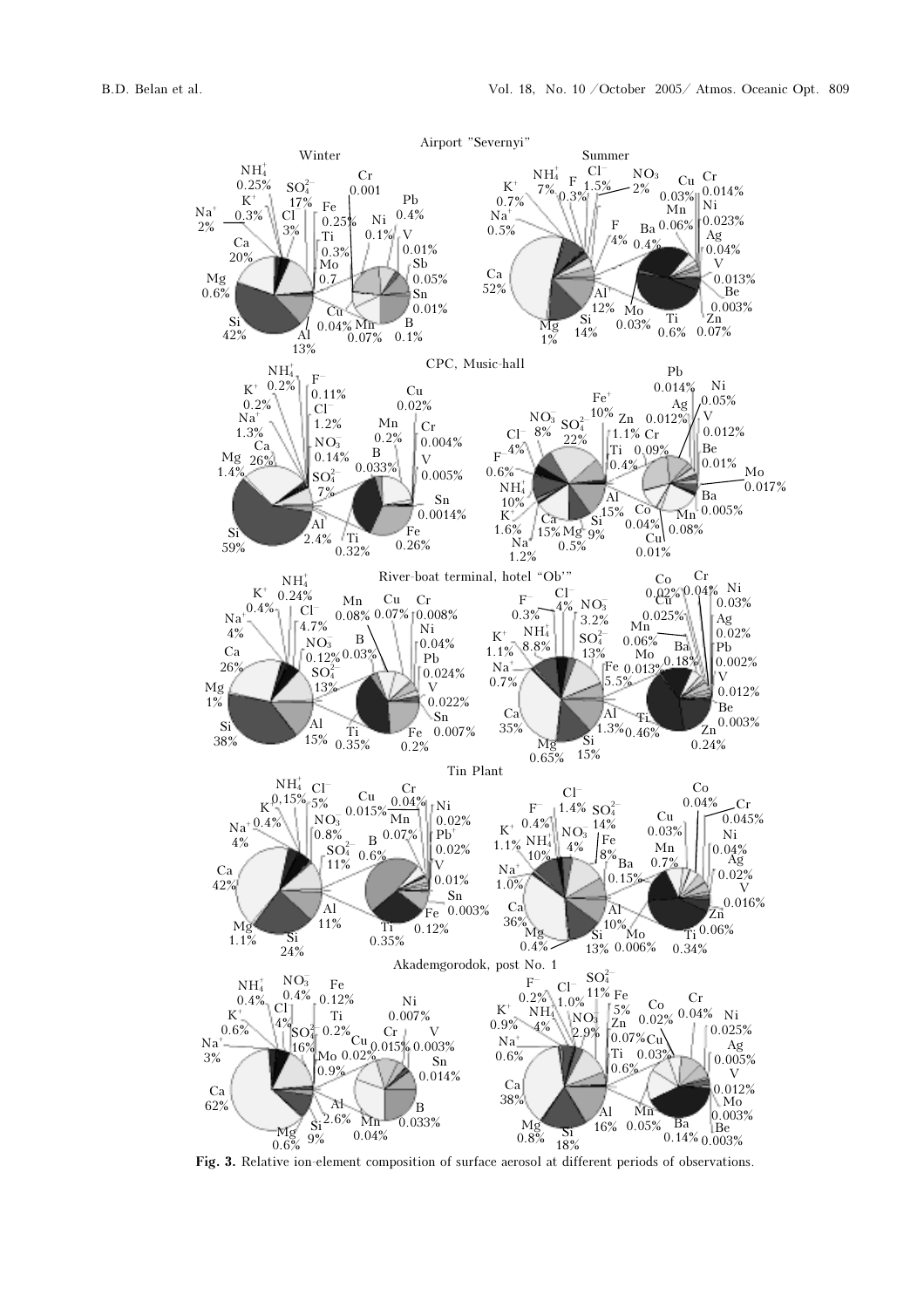

Fig. 3. Relative ion-element composition of surface aerosol at different periods of observations.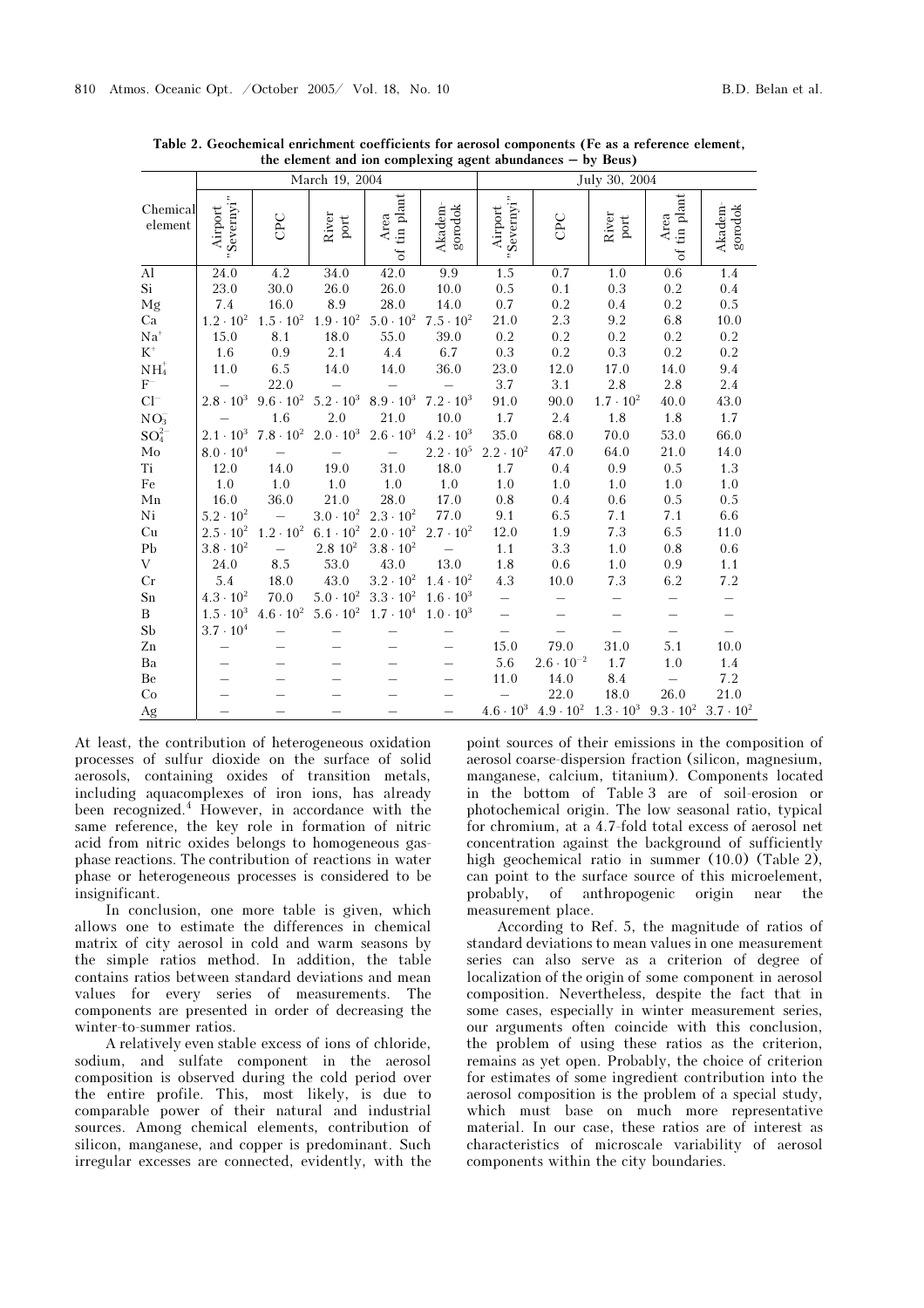|                     |                       |                          | March 19, 2004         |                      |                                                             | July 30, 2004            |                     |                        |                               |                          |  |
|---------------------|-----------------------|--------------------------|------------------------|----------------------|-------------------------------------------------------------|--------------------------|---------------------|------------------------|-------------------------------|--------------------------|--|
| Chemical<br>element | "Severnyi"<br>Airport | CPC                      | River<br>$_{\rm port}$ | of tin plant<br>Area | $\mathbf{g} \mathbf{or} \mathbf{od} \mathbf{ok}$<br>Akadem- | "Severnyi"<br>Airport    | CPC                 | River<br>$_{\rm port}$ | tin plant<br>Area<br>$\sigma$ | Akadem-<br>gorodok       |  |
| $\overline{Al}$     | 24.0                  | 4.2                      | 34.0                   | 42.0                 | 9.9                                                         | 1.5                      | 0.7                 | 1.0                    | 0.6                           | 1.4                      |  |
| Si                  | 23.0                  | 30.0                     | 26.0                   | 26.0                 | 10.0                                                        | 0.5                      | 0.1                 | 0.3                    | 0.2                           | 0.4                      |  |
| Mg                  | 7.4                   | 16.0                     | 8.9                    | 28.0                 | 14.0                                                        | 0.7                      | 0.2                 | 0.4                    | 0.2                           | 0.5                      |  |
| Ca                  | $1.2 \cdot 10^{2}$    | $1.5 \cdot 10^{2}$       | $1.9 \cdot 10^{2}$     | $5.0 \cdot 10^{2}$   | $7.5 \cdot 10^{2}$                                          | 21.0                     | 2.3                 | 9.2                    | 6.8                           | 10.0                     |  |
| $\mathrm{Na}^+$     | 15.0                  | 8.1                      | 18.0                   | 55.0                 | 39.0                                                        | 0.2                      | 0.2                 | 0.2                    | 0.2                           | 0.2                      |  |
| $\mbox{K}^+$        | 1.6                   | 0.9                      | 2.1                    | 4.4                  | 6.7                                                         | $0.3\,$                  | 0.2                 | 0.3                    | 0.2                           | 0.2                      |  |
| $\mathrm{NH}_4^+$   | 11.0                  | 6.5                      | 14.0                   | 14.0                 | 36.0                                                        | 23.0                     | 12.0                | 17.0                   | 14.0                          | 9.4                      |  |
| $F^-$               |                       | 22.0                     |                        |                      |                                                             | 3.7                      | 3.1                 | 2.8                    | 2.8                           | 2.4                      |  |
| $Cl^{-}$            | $2.8 \cdot 10^{3}$    | $9.6 \cdot 10^{2}$       | $5.2 \cdot 10^{3}$     | $8.9 \cdot 10^{3}$   | $7.2 \cdot 10^{3}$                                          | 91.0                     | 90.0                | $1.7 \cdot 10^{2}$     | 40.0                          | 43.0                     |  |
| $NO_3^-$            |                       | 1.6                      | 2.0                    | 21.0                 | 10.0                                                        | 1.7                      | 2.4                 | $1.8\,$                | 1.8                           | 1.7                      |  |
| $SO_4^{2-}$         | $2.1 \cdot 10^{3}$    | $7.8\cdot10^{2}$         | $2.0 \cdot 10^{3}$     | $2.6 \cdot 10^{3}$   | $4.2 \cdot 10^{3}$                                          | 35.0                     | 68.0                | 70.0                   | 53.0                          | 66.0                     |  |
| $_{\rm Mo}$         | $8.0 \cdot 10^{4}$    | $\equiv$                 | $\equiv$               | $\frac{1}{2}$        | $2.2 \cdot 10^5$                                            | $2.2 \cdot 10^{2}$       | 47.0                | 64.0                   | 21.0                          | 14.0                     |  |
| Ti                  | 12.0                  | 14.0                     | 19.0                   | 31.0                 | 18.0                                                        | 1.7                      | 0.4                 | 0.9                    | 0.5                           | 1.3                      |  |
| Fe                  | 1.0                   | 1.0                      | 1.0                    | $1.0\,$              | 1.0                                                         | 1.0                      | 1.0                 | 1.0                    | 1.0                           | 1.0                      |  |
| ${\rm Mn}$          | 16.0                  | 36.0                     | 21.0                   | 28.0                 | 17.0                                                        | 0.8                      | 0.4                 | 0.6                    | 0.5                           | 0.5                      |  |
| Ni                  | $5.2 \cdot 10^{2}$    | $\hspace{0.1mm}$         | $3.0\cdot10^2$         | $2.3 \cdot 10^{2}$   | 77.0                                                        | 9.1                      | 6.5                 | 7.1                    | 7.1                           | 6.6                      |  |
| Cu                  | $2.5 \cdot 10^{2}$    | $1.2 \cdot 10^{2}$       | $6.1 \cdot 10^{2}$     | $2.0 \cdot 10^{2}$   | $2.7 \cdot 10^{2}$                                          | 12.0                     | 1.9                 | 7.3                    | 6.5                           | 11.0                     |  |
| ${\rm Pb}$          | $3.8 \cdot 10^{2}$    | $\overline{\phantom{0}}$ | 2.8 10 <sup>2</sup>    | $3.8 \cdot 10^{2}$   | $\equiv$                                                    | $1.1\,$                  | 3.3                 | 1.0                    | 0.8                           | 0.6                      |  |
| V                   | 24.0                  | 8.5                      | 53.0                   | 43.0                 | 13.0                                                        | 1.8                      | 0.6                 | 1.0                    | 0.9                           | 1.1                      |  |
| Cr                  | 5.4                   | 18.0                     | 43.0                   | $3.2 \cdot 10^{2}$   | $1.4 \cdot 10^{2}$                                          | $4.3\,$                  | 10.0                | $7.3\,$                | 6.2                           | 7.2                      |  |
| ${\rm Sn}$          | $4.3 \cdot 10^{2}$    | 70.0                     | $5.0\cdot10^2$         | $3.3 \cdot 10^{2}$   | $1.6 \cdot 10^{3}$                                          | $\equiv$                 |                     |                        |                               | -                        |  |
| B                   | $1.5 \cdot 10^{3}$    | $4.6\cdot10^{2}$         | $5.6 \cdot 10^{2}$     | $1.7 \cdot 10^{4}$   | $1.0 \cdot 10^{3}$                                          | $\overline{\phantom{0}}$ |                     |                        |                               | $\overline{\phantom{0}}$ |  |
| ${\rm Sb}$          | $3.7 \cdot 10^{4}$    |                          |                        |                      |                                                             |                          |                     |                        |                               |                          |  |
| ${\rm Zn}$          |                       |                          |                        |                      | $\qquad \qquad -$                                           | 15.0                     | 79.0                | 31.0                   | 5.1                           | 10.0                     |  |
| Ba                  |                       |                          |                        |                      |                                                             | 5.6                      | $2.6 \cdot 10^{-2}$ | 1.7                    | 1.0                           | 1.4                      |  |
| Be                  |                       |                          |                        |                      |                                                             | 11.0                     | 14.0                | 8.4                    |                               | 7.2                      |  |
| Co                  |                       |                          |                        |                      |                                                             |                          | 22.0                | 18.0                   | 26.0                          | 21.0                     |  |
| Ag                  |                       |                          |                        |                      |                                                             | $4.6\cdot10^3$           | $4.9 \cdot 10^{2}$  | $1.3 \cdot 10^{3}$     | $9.3 \cdot 10^{2}$            | $3.7 \cdot 10^{2}$       |  |

Table 2. Geochemical enrichment coefficients for aerosol components (Fe as a reference element, the element and ion complexing agent abundances – by Beus)

At least, the contribution of heterogeneous oxidation processes of sulfur dioxide on the surface of solid aerosols, containing oxides of transition metals, including aquacomplexes of iron ions, has already been recognized.<sup>4</sup> However, in accordance with the same reference, the key role in formation of nitric acid from nitric oxides belongs to homogeneous gasphase reactions. The contribution of reactions in water phase or heterogeneous processes is considered to be insignificant.

In conclusion, one more table is given, which allows one to estimate the differences in chemical matrix of city aerosol in cold and warm seasons by the simple ratios method. In addition, the table contains ratios between standard deviations and mean values for every series of measurements. The components are presented in order of decreasing the winter-to-summer ratios.

A relatively even stable excess of ions of chloride, sodium, and sulfate component in the aerosol composition is observed during the cold period over the entire profile. This, most likely, is due to comparable power of their natural and industrial sources. Among chemical elements, contribution of silicon, manganese, and copper is predominant. Such irregular excesses are connected, evidently, with the

point sources of their emissions in the composition of aerosol coarse-dispersion fraction (silicon, magnesium, manganese, calcium, titanium). Components located in the bottom of Table 3 are of soil-erosion or photochemical origin. The low seasonal ratio, typical for chromium, at a 4.7-fold total excess of aerosol net concentration against the background of sufficiently high geochemical ratio in summer (10.0) (Table 2), can point to the surface source of this microelement, probably, of anthropogenic origin near the measurement place.

According to Ref. 5, the magnitude of ratios of standard deviations to mean values in one measurement series can also serve as a criterion of degree of localization of the origin of some component in aerosol composition. Nevertheless, despite the fact that in some cases, especially in winter measurement series, our arguments often coincide with this conclusion, the problem of using these ratios as the criterion, remains as yet open. Probably, the choice of criterion for estimates of some ingredient contribution into the aerosol composition is the problem of a special study, which must base on much more representative material. In our case, these ratios are of interest as characteristics of microscale variability of aerosol components within the city boundaries.